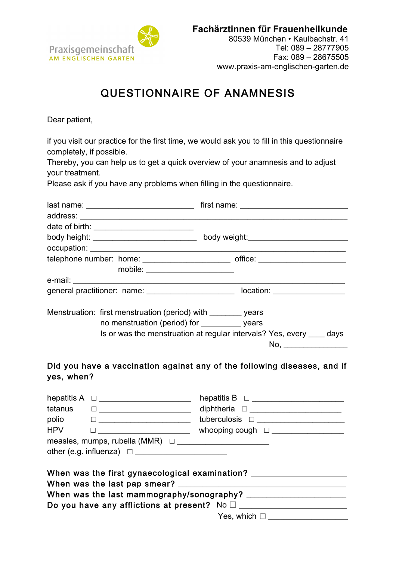

# QUESTIONNAIRE OF ANAMNESIS

Dear patient,

if you visit our practice for the first time, we would ask you to fill in this questionnaire completely, if possible.

Thereby, you can help us to get a quick overview of your anamnesis and to adjust your treatment.

Please ask if you have any problems when filling in the questionnaire.

|            |                                                                | last name: ___________________________________ first name: _____________________ |
|------------|----------------------------------------------------------------|----------------------------------------------------------------------------------|
|            |                                                                |                                                                                  |
|            |                                                                |                                                                                  |
|            |                                                                |                                                                                  |
|            |                                                                | <u> 1989 - Johann John Stein, mars an deutscher Stein († 1958)</u>               |
|            |                                                                |                                                                                  |
|            | mobile: $\qquad \qquad$                                        |                                                                                  |
|            |                                                                |                                                                                  |
|            |                                                                | general practitioner: name: ________________________ location: _________________ |
|            | Menstruation: first menstruation (period) with _________ years |                                                                                  |
|            |                                                                | no menstruation (period) for __________ years                                    |
|            |                                                                | Is or was the menstruation at regular intervals? Yes, every _____ days           |
|            |                                                                | No, __________________                                                           |
| yes, when? |                                                                | Did you have a vaccination against any of the following diseases, and if         |
|            | hepatitis A $\Box$                                             | $hepatitis B \quad \Box$                                                         |
|            | tetanus $\Box$                                                 | diphtheria $\square$                                                             |
|            |                                                                | polio $\square$                                                                  |
| <b>HPV</b> |                                                                | $\Box$                                                                           |
|            |                                                                | measles, mumps, rubella (MMR) $\Box$                                             |
|            | other (e.g. influenza) $\Box$                                  |                                                                                  |
|            |                                                                |                                                                                  |
|            |                                                                | When was the first gynaecological examination? _________________________________ |
|            |                                                                |                                                                                  |
|            |                                                                |                                                                                  |
|            |                                                                | Do you have any afflictions at present? $No \Box$                                |
|            |                                                                | Yes, which $\square$                                                             |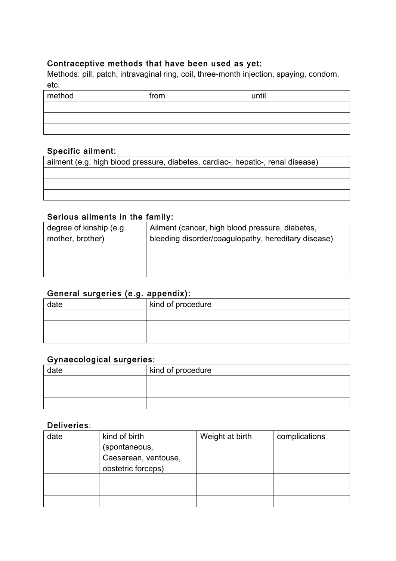## Contraceptive methods that have been used as yet:

Methods: pill, patch, intravaginal ring, coil, three-month injection, spaying, condom, etc.

| method | from | until |
|--------|------|-------|
|        |      |       |
|        |      |       |
|        |      |       |

#### Specific ailment:

| ailment (e.g. high blood pressure, diabetes, cardiac-, hepatic-, renal disease) |  |
|---------------------------------------------------------------------------------|--|
|                                                                                 |  |
|                                                                                 |  |
|                                                                                 |  |
|                                                                                 |  |

# Serious ailments in the family:

| degree of kinship (e.g. | Ailment (cancer, high blood pressure, diabetes,     |
|-------------------------|-----------------------------------------------------|
| mother, brother)        | bleeding disorder/coagulopathy, hereditary disease) |
|                         |                                                     |
|                         |                                                     |
|                         |                                                     |

## General surgeries (e.g. appendix):

| $\sim$<br>date | kind of procedure |
|----------------|-------------------|
|                |                   |
|                |                   |
|                |                   |

# Gynaecological surgeries:

| date | kind of procedure |
|------|-------------------|
|      |                   |
|      |                   |
|      |                   |

#### Deliveries:

| date | kind of birth<br>(spontaneous,<br>Caesarean, ventouse,<br>obstetric forceps) | Weight at birth | complications |
|------|------------------------------------------------------------------------------|-----------------|---------------|
|      |                                                                              |                 |               |
|      |                                                                              |                 |               |
|      |                                                                              |                 |               |